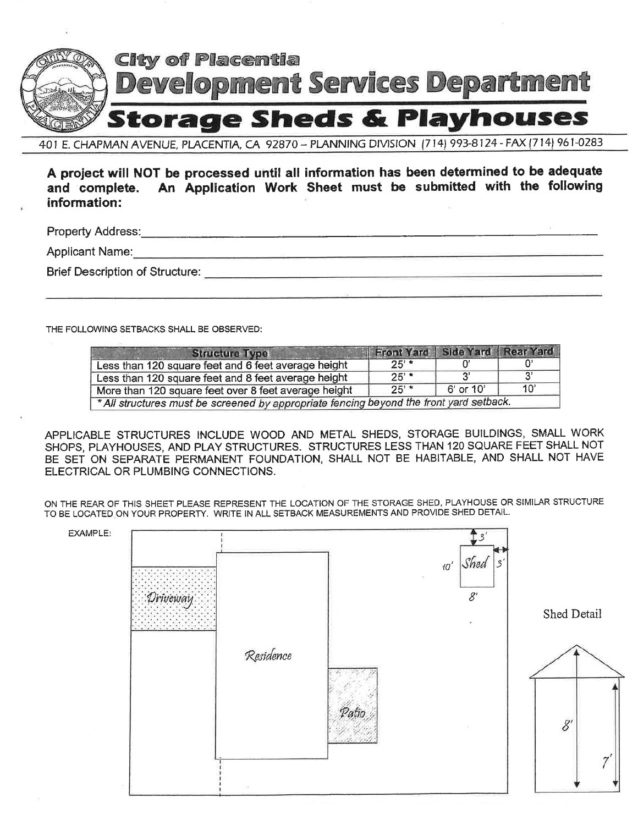

401 E. CHAPMAN AVENUE, PLACENTIA, CA 92870 - PLANNING DIVISION (714) 993-8124 - FAX (714) 961-0283

A project will NOT be processed until all information has been determined to be adequate An Application Work Sheet must be submitted with the following and complete. information:

<u> 1989 - Johann Barn, mars ar breithinn ar chuid ann an t-</u>

**Property Address:** 

**Applicant Name:** 

**Brief Description of Structure: Contract Contract Contract Contract Contract Contract Contract Contract Contract Contract Contract Contract Contract Contract Contract Contract Contract Contract Contract Contract Contrac** 

THE FOLLOWING SETBACKS SHALL BE OBSERVED:

| <b>Structure Type</b>                                                                   | Front Yard Side Yard Rear Yard |           |     |
|-----------------------------------------------------------------------------------------|--------------------------------|-----------|-----|
| Less than 120 square feet and 6 feet average height                                     | $25'$ *                        |           |     |
| Less than 120 square feet and 8 feet average height                                     | $25'$ *                        |           |     |
| More than 120 square feet over 8 feet average height                                    | $25'$ *                        | 6' or 10' | 10' |
| * All structures must be screened by appropriate fencing beyond the front yard setback. |                                |           |     |

APPLICABLE STRUCTURES INCLUDE WOOD AND METAL SHEDS, STORAGE BUILDINGS, SMALL WORK SHOPS, PLAYHOUSES, AND PLAY STRUCTURES. STRUCTURES LESS THAN 120 SQUARE FEET SHALL NOT BE SET ON SEPARATE PERMANENT FOUNDATION, SHALL NOT BE HABITABLE, AND SHALL NOT HAVE ELECTRICAL OR PLUMBING CONNECTIONS.

ON THE REAR OF THIS SHEET PLEASE REPRESENT THE LOCATION OF THE STORAGE SHED, PLAYHOUSE OR SIMILAR STRUCTURE TO BE LOCATED ON YOUR PROPERTY. WRITE IN ALL SETBACK MEASUREMENTS AND PROVIDE SHED DETAIL.

**EXAMPLE:** T 2 Shed  ${10}^{\prime}$  $\mathcal{S}'$ Driveway Shed Detail Residence 8'